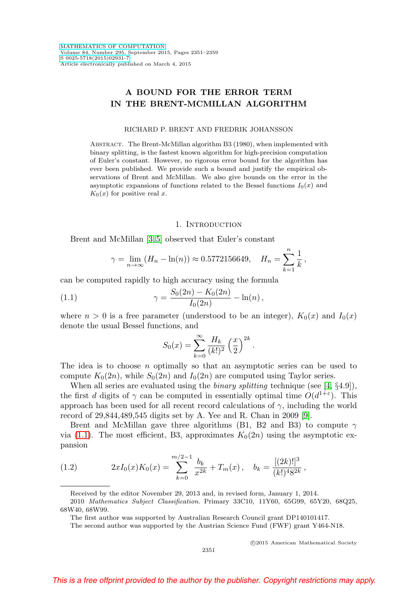# **A BOUND FOR THE ERROR TERM IN THE BRENT-MCMILLAN ALGORITHM**

#### RICHARD P. BRENT AND FREDRIK JOHANSSON

Abstract. The Brent-McMillan algorithm B3 (1980), when implemented with binary splitting, is the fastest known algorithm for high-precision computation of Euler's constant. However, no rigorous error bound for the algorithm has ever been published. We provide such a bound and justify the empirical observations of Brent and McMillan. We also give bounds on the error in the asymptotic expansions of functions related to the Bessel functions  $I_0(x)$  and  $K_0(x)$  for positive real x.

## 1. INTRODUCTION

Brent and McMillan [\[3,](#page-8-0) [5\]](#page-8-1) observed that Euler's constant

$$
\gamma = \lim_{n \to \infty} (H_n - \ln(n)) \approx 0.5772156649, \quad H_n = \sum_{k=1}^n \frac{1}{k},
$$

can be computed rapidly to high accuracy using the formula

<span id="page-0-0"></span>(1.1) 
$$
\gamma = \frac{S_0(2n) - K_0(2n)}{I_0(2n)} - \ln(n),
$$

where  $n > 0$  is a free parameter (understood to be an integer),  $K_0(x)$  and  $I_0(x)$ denote the usual Bessel functions, and

$$
S_0(x) = \sum_{k=0}^{\infty} \frac{H_k}{(k!)^2} \left(\frac{x}{2}\right)^{2k}
$$

.

The idea is to choose n optimally so that an asymptotic series can be used to compute  $K_0(2n)$ , while  $S_0(2n)$  and  $I_0(2n)$  are computed using Taylor series.

When all series are evaluated using the *binary splitting* technique (see [\[4,](#page-8-2)  $\S 4.9$ ]), the first d digits of  $\gamma$  can be computed in essentially optimal time  $O(d^{1+\epsilon})$ . This approach has been used for all recent record calculations of  $\gamma$ , including the world record of 29,844,489,545 digits set by A. Yee and R. Chan in 2009 [\[9\]](#page-8-3).

Brent and McMillan gave three algorithms (B1, B2 and B3) to compute  $\gamma$ via [\(1.1\)](#page-0-0). The most efficient, B3, approximates  $K_0(2n)$  using the asymptotic expansion

<span id="page-0-1"></span>(1.2) 
$$
2xI_0(x)K_0(x) = \sum_{k=0}^{m/2-1} \frac{b_k}{x^{2k}} + T_m(x), \quad b_k = \frac{[(2k)!]^3}{(k!)^4 8^{2k}},
$$

-c 2015 American Mathematical Society

Received by the editor November 29, 2013 and, in revised form, January 1, 2014.

<sup>2010</sup> Mathematics Subject Classification. Primary 33C10, 11Y60, 65G99, 65Y20, 68Q25, 68W40, 68W99.

The first author was supported by Australian Research Council grant DP140101417.

The second author was supported by the Austrian Science Fund (FWF) grant Y464-N18.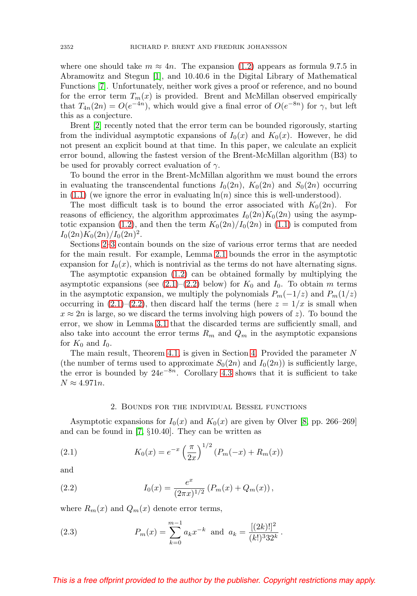where one should take  $m \approx 4n$ . The expansion [\(1.2\)](#page-0-1) appears as formula 9.7.5 in Abramowitz and Stegun [\[1\]](#page-8-4), and 10.40.6 in the Digital Library of Mathematical Functions [\[7\]](#page-8-5). Unfortunately, neither work gives a proof or reference, and no bound for the error term  $T_m(x)$  is provided. Brent and McMillan observed empirically that  $T_{4n}(2n) = O(e^{-4n})$ , which would give a final error of  $O(e^{-8n})$  for  $\gamma$ , but left this as a conjecture.

Brent [\[2\]](#page-8-6) recently noted that the error term can be bounded rigorously, starting from the individual asymptotic expansions of  $I_0(x)$  and  $K_0(x)$ . However, he did not present an explicit bound at that time. In this paper, we calculate an explicit error bound, allowing the fastest version of the Brent-McMillan algorithm (B3) to be used for provably correct evaluation of  $\gamma$ .

To bound the error in the Brent-McMillan algorithm we must bound the errors in evaluating the transcendental functions  $I_0(2n)$ ,  $K_0(2n)$  and  $S_0(2n)$  occurring in  $(1.1)$  (we ignore the error in evaluating  $\ln(n)$  since this is well-understood).

The most difficult task is to bound the error associated with  $K_0(2n)$ . For reasons of efficiency, the algorithm approximates  $I_0(2n)K_0(2n)$  using the asymp-totic expansion [\(1.2\)](#page-0-1), and then the term  $K_0(2n)/I_0(2n)$  in [\(1.1\)](#page-0-0) is computed from  $I_0(2n)K_0(2n)/I_0(2n)^2$ .

Sections [2–](#page-1-0)[3](#page-3-0) contain bounds on the size of various error terms that are needed for the main result. For example, Lemma [2.1](#page-2-0) bounds the error in the asymptotic expansion for  $I_0(x)$ , which is nontrivial as the terms do not have alternating signs.

The asymptotic expansion [\(1.2\)](#page-0-1) can be obtained formally by multiplying the asymptotic expansions (see  $(2.1)$ – $(2.2)$  below) for  $K_0$  and  $I_0$ . To obtain m terms in the asymptotic expansion, we multiply the polynomials  $P_m(-1/z)$  and  $P_m(1/z)$ occurring in  $(2.1)$ – $(2.2)$ , then discard half the terms (here  $z = 1/x$  is small when  $x \approx 2n$  is large, so we discard the terms involving high powers of z). To bound the error, we show in Lemma [3.1](#page-3-1) that the discarded terms are sufficiently small, and also take into account the error terms  $R_m$  and  $Q_m$  in the asymptotic expansions for  $K_0$  and  $I_0$ .

The main result, Theorem [4.1,](#page-5-0) is given in Section [4.](#page-5-1) Provided the parameter N (the number of terms used to approximate  $S_0(2n)$  and  $I_0(2n)$ ) is sufficiently large, the error is bounded by  $24e^{-8n}$ . Corollary [4.3](#page-6-0) shows that it is sufficient to take  $N \approx 4.971n$ .

#### 2. Bounds for the individual Bessel functions

<span id="page-1-0"></span>Asymptotic expansions for  $I_0(x)$  and  $K_0(x)$  are given by Olver [\[8,](#page-8-7) pp. 266–269] and can be found in [\[7,](#page-8-5) §10.40]. They can be written as

<span id="page-1-1"></span>(2.1) 
$$
K_0(x) = e^{-x} \left(\frac{\pi}{2x}\right)^{1/2} (P_m(-x) + R_m(x))
$$

and

<span id="page-1-2"></span>(2.2) 
$$
I_0(x) = \frac{e^x}{(2\pi x)^{1/2}} \left( P_m(x) + Q_m(x) \right),
$$

where  $R_m(x)$  and  $Q_m(x)$  denote error terms,

<span id="page-1-3"></span>(2.3) 
$$
P_m(x) = \sum_{k=0}^{m-1} a_k x^{-k} \text{ and } a_k = \frac{[(2k)!]^2}{(k!)^3 32^k}.
$$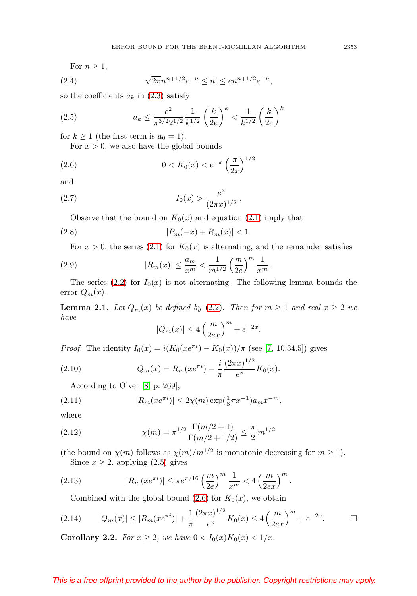For  $n \geq 1$ ,

<span id="page-2-8"></span>(2.4) 
$$
\sqrt{2\pi}n^{n+1/2}e^{-n} \le n! \le en^{n+1/2}e^{-n},
$$

so the coefficients  $a_k$  in [\(2.3\)](#page-1-3) satisfy

<span id="page-2-1"></span>(2.5) 
$$
a_k \le \frac{e^2}{\pi^{3/2} 2^{1/2}} \frac{1}{k^{1/2}} \left(\frac{k}{2e}\right)^k < \frac{1}{k^{1/2}} \left(\frac{k}{2e}\right)^k
$$

for  $k \ge 1$  (the first term is  $a_0 = 1$ ).

For  $x > 0$ , we also have the global bounds

<span id="page-2-2"></span>(2.6) 
$$
0 < K_0(x) < e^{-x} \left(\frac{\pi}{2x}\right)^{1/2}
$$

and

<span id="page-2-6"></span>(2.7) 
$$
I_0(x) > \frac{e^x}{(2\pi x)^{1/2}}.
$$

Observe that the bound on  $K_0(x)$  and equation [\(2.1\)](#page-1-1) imply that

<span id="page-2-5"></span>(2.8) 
$$
|P_m(-x) + R_m(x)| < 1.
$$

For  $x > 0$ , the series [\(2.1\)](#page-1-1) for  $K_0(x)$  is alternating, and the remainder satisfies

<span id="page-2-4"></span>(2.9) 
$$
|R_m(x)| \leq \frac{a_m}{x^m} < \frac{1}{m^{1/2}} \left(\frac{m}{2e}\right)^m \frac{1}{x^m}.
$$

The series [\(2.2\)](#page-1-2) for  $I_0(x)$  is not alternating. The following lemma bounds the error  $Q_m(x)$ .

<span id="page-2-0"></span>**Lemma 2.1.** Let  $Q_m(x)$  be defined by [\(2.2\)](#page-1-2). Then for  $m \ge 1$  and real  $x \ge 2$  we have

$$
|Q_m(x)| \le 4\left(\frac{m}{2ex}\right)^m + e^{-2x}.
$$

*Proof.* The identity  $I_0(x) = i(K_0(xe^{\pi i}) - K_0(x))/\pi$  (see [\[7,](#page-8-5) 10.34.5]) gives

(2.10) 
$$
Q_m(x) = R_m(x e^{\pi i}) - \frac{i}{\pi} \frac{(2\pi x)^{1/2}}{e^x} K_0(x).
$$

According to Olver [\[8,](#page-8-7) p. 269],

(2.11) 
$$
|R_m(x e^{\pi i})| \le 2\chi(m) \exp(\frac{1}{8}\pi x^{-1}) a_m x^{-m},
$$

where

(2.12) 
$$
\chi(m) = \pi^{1/2} \frac{\Gamma(m/2+1)}{\Gamma(m/2+1/2)} \leq \frac{\pi}{2} m^{1/2}
$$

(the bound on  $\chi(m)$  follows as  $\chi(m)/m^{1/2}$  is monotonic decreasing for  $m \ge 1$ ). Since  $x \geq 2$ , applying  $(2.5)$  gives

(2.13) 
$$
|R_m(x e^{\pi i})| \le \pi e^{\pi/16} \left(\frac{m}{2e}\right)^m \frac{1}{x^m} < 4 \left(\frac{m}{2ex}\right)^m
$$

Combined with the global bound [\(2.6\)](#page-2-2) for  $K_0(x)$ , we obtain

<span id="page-2-3"></span>
$$
(2.14) \qquad |Q_m(x)| \le |R_m(x e^{\pi i})| + \frac{1}{\pi} \frac{(2\pi x)^{1/2}}{e^x} K_0(x) \le 4 \left(\frac{m}{2ex}\right)^m + e^{-2x}.\qquad \Box
$$

.

<span id="page-2-7"></span>**Corollary 2.2.** For  $x \ge 2$ , we have  $0 < I_0(x)K_0(x) < 1/x$ .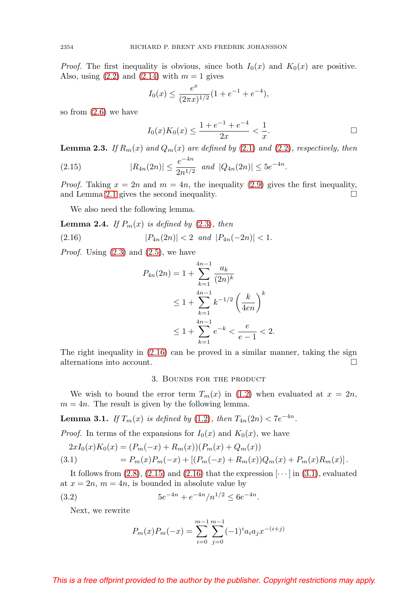*Proof.* The first inequality is obvious, since both  $I_0(x)$  and  $K_0(x)$  are positive. Also, using  $(2.2)$  and  $(2.14)$  with  $m = 1$  gives

$$
I_0(x) \le \frac{e^x}{(2\pi x)^{1/2}} (1 + e^{-1} + e^{-4}),
$$

so from [\(2.6\)](#page-2-2) we have

$$
I_0(x)K_0(x) \le \frac{1+e^{-1}+e^{-4}}{2x} < \frac{1}{x}.
$$

**Lemma 2.3.** If  $R_m(x)$  and  $Q_m(x)$  are defined by [\(2.1\)](#page-1-1) and [\(2.2\)](#page-1-2), respectively, then

<span id="page-3-3"></span>(2.15) 
$$
|R_{4n}(2n)| \leq \frac{e^{-4n}}{2n^{1/2}} \text{ and } |Q_{4n}(2n)| \leq 5e^{-4n}.
$$

*Proof.* Taking  $x = 2n$  and  $m = 4n$ , the inequality [\(2.9\)](#page-2-4) gives the first inequality, and Lemma [2.1](#page-2-0) gives the second inequality.  $\Box$ 

We also need the following lemma.

**Lemma 2.4.** If  $P_m(x)$  is defined by  $(2.3)$ , then

<span id="page-3-2"></span>
$$
(2.16) \t\t |P_{4n}(2n)| < 2 \text{ and } |P_{4n}(-2n)| < 1.
$$

*Proof.* Using  $(2.3)$  and  $(2.5)$ , we have

$$
P_{4n}(2n) = 1 + \sum_{k=1}^{4n-1} \frac{a_k}{(2n)^k}
$$
  
\n
$$
\leq 1 + \sum_{k=1}^{4n-1} k^{-1/2} \left(\frac{k}{4en}\right)^k
$$
  
\n
$$
\leq 1 + \sum_{k=1}^{4n-1} e^{-k} < \frac{e}{e-1} < 2.
$$

<span id="page-3-0"></span>The right inequality in [\(2.16\)](#page-3-2) can be proved in a similar manner, taking the sign alternations into account.  $\Box$ 

#### 3. Bounds for the product

We wish to bound the error term  $T_m(x)$  in [\(1.2\)](#page-0-1) when evaluated at  $x = 2n$ ,  $m = 4n$ . The result is given by the following lemma.

<span id="page-3-1"></span>**Lemma 3.1.** If  $T_m(x)$  is defined by [\(1.2\)](#page-0-1), then  $T_{4n}(2n) < 7e^{-4n}$ .

*Proof.* In terms of the expansions for  $I_0(x)$  and  $K_0(x)$ , we have

<span id="page-3-4"></span>
$$
2xI_0(x)K_0(x) = (P_m(-x) + R_m(x))(P_m(x) + Q_m(x))
$$
  
(3.1) 
$$
= P_m(x)P_m(-x) + [(P_m(-x) + R_m(x))Q_m(x) + P_m(x)R_m(x)].
$$

It follows from  $(2.8)$ ,  $(2.15)$  and  $(2.16)$  that the expression  $\lceil \cdots \rceil$  in  $(3.1)$ , evaluated at  $x = 2n$ ,  $m = 4n$ , is bounded in absolute value by

<span id="page-3-5"></span>(3.2) 
$$
5e^{-4n} + e^{-4n}/n^{1/2} \le 6e^{-4n}.
$$

Next, we rewrite

$$
P_m(x)P_m(-x) = \sum_{i=0}^{m-1} \sum_{j=0}^{m-1} (-1)^i a_i a_j x^{-(i+j)}
$$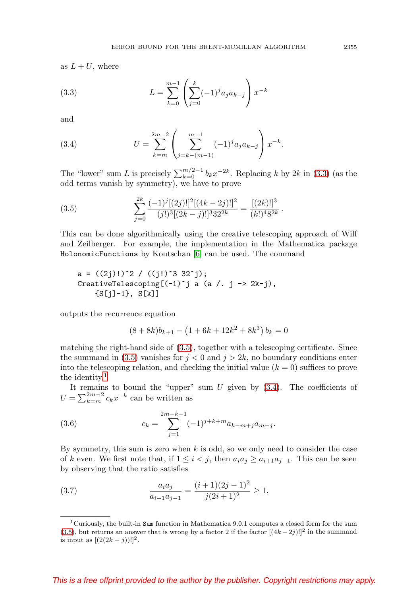as  $L + U$ , where

<span id="page-4-0"></span>(3.3) 
$$
L = \sum_{k=0}^{m-1} \left( \sum_{j=0}^{k} (-1)^j a_j a_{k-j} \right) x^{-k}
$$

and

<span id="page-4-3"></span>(3.4) 
$$
U = \sum_{k=m}^{2m-2} \left( \sum_{j=k-(m-1)}^{m-1} (-1)^j a_j a_{k-j} \right) x^{-k}.
$$

The "lower" sum L is precisely  $\sum_{k=0}^{m/2-1} b_k x^{-2k}$ . Replacing k by 2k in [\(3.3\)](#page-4-0) (as the odd terms vanish by symmetry), we have to prove

<span id="page-4-1"></span>(3.5) 
$$
\sum_{j=0}^{2k} \frac{(-1)^j [(2j)!]^2 [(4k-2j)!]^2}{(j!)^3 [(2k-j)!]^3 32^{2k}} = \frac{[(2k)!]^3}{(k!)^4 8^{2k}}.
$$

This can be done algorithmically using the creative telescoping approach of Wilf and Zeilberger. For example, the implementation in the Mathematica package HolonomicFunctions by Koutschan [\[6\]](#page-8-8) can be used. The command

$$
a = ((2j)!)^2 / ((j!)^3 32^j);
$$
  
CreateTelescoping[(-1)<sup>^</sup>j a (a /. j -> 2k-j),  
{S[j]-1}, S[k]]

outputs the recurrence equation

$$
(8+8k)b_{k+1} - (1+6k+12k^2+8k^3) b_k = 0
$$

matching the right-hand side of [\(3.5\)](#page-4-1), together with a telescoping certificate. Since the summand in [\(3.5\)](#page-4-1) vanishes for  $j < 0$  and  $j > 2k$ , no boundary conditions enter into the telescoping relation, and checking the initial value  $(k = 0)$  suffices to prove the identity.<sup>[1](#page-4-2)</sup>

It remains to bound the "upper" sum  $U$  given by  $(3.4)$ . The coefficients of  $U = \sum_{k=m}^{2m-2} c_k x^{-k}$  can be written as

(3.6) 
$$
c_k = \sum_{j=1}^{2m-k-1} (-1)^{j+k+m} a_{k-m+j} a_{m-j}.
$$

By symmetry, this sum is zero when  $k$  is odd, so we only need to consider the case of k even. We first note that, if  $1 \leq i < j$ , then  $a_i a_j \geq a_{i+1} a_{i-1}$ . This can be seen by observing that the ratio satisfies

(3.7) 
$$
\frac{a_i a_j}{a_{i+1} a_{j-1}} = \frac{(i+1)(2j-1)^2}{j(2i+1)^2} \ge 1.
$$

<span id="page-4-2"></span><sup>&</sup>lt;sup>1</sup>Curiously, the built-in Sum function in Mathematica 9.0.1 computes a closed form for the sum [\(3.5\)](#page-4-1), but returns an answer that is wrong by a factor 2 if the factor  $[(4k-2j)!]^2$  in the summand is input as  $[(2(2k - j))!]^2$ .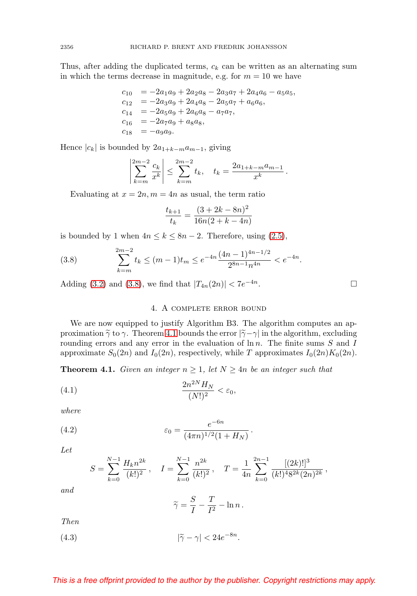Thus, after adding the duplicated terms,  $c_k$  can be written as an alternating sum in which the terms decrease in magnitude, e.g. for  $m = 10$  we have

$$
c_{10} = -2a_1a_9 + 2a_2a_8 - 2a_3a_7 + 2a_4a_6 - a_5a_5,
$$
  
\n
$$
c_{12} = -2a_3a_9 + 2a_4a_8 - 2a_5a_7 + a_6a_6,
$$
  
\n
$$
c_{14} = -2a_5a_9 + 2a_6a_8 - a_7a_7,
$$
  
\n
$$
c_{16} = -2a_7a_9 + a_8a_8,
$$
  
\n
$$
c_{18} = -a_9a_9.
$$

Hence  $|c_k|$  is bounded by  $2a_{1+k-m}a_{m-1}$ , giving

$$
\left|\sum_{k=m}^{2m-2} \frac{c_k}{x^k}\right| \le \sum_{k=m}^{2m-2} t_k, \quad t_k = \frac{2a_{1+k-m}a_{m-1}}{x^k}.
$$

Evaluating at  $x = 2n, m = 4n$  as usual, the term ratio

$$
\frac{t_{k+1}}{t_k} = \frac{(3+2k-8n)^2}{16n(2+k-4n)}
$$

is bounded by 1 when  $4n \leq k \leq 8n-2$ . Therefore, using [\(2.5\)](#page-2-1),

<span id="page-5-2"></span>(3.8) 
$$
\sum_{k=m}^{2m-2} t_k \le (m-1)t_m \le e^{-4n} \frac{(4n-1)^{4n-1/2}}{2^{8n-1}n^{4n}} < e^{-4n}.
$$

<span id="page-5-1"></span>Adding [\(3.2\)](#page-3-5) and [\(3.8\)](#page-5-2), we find that  $|T_{4n}(2n)| < 7e^{-4n}$ .

# 4. A complete error bound

We are now equipped to justify Algorithm B3. The algorithm computes an approximation  $\tilde{\gamma}$  to  $\gamma$ . Theorem [4.1](#page-5-0) bounds the error  $|\tilde{\gamma} - \gamma|$  in the algorithm, excluding rounding errors and any error in the evaluation of  $\ln n$ . The finite sums S and I approximate  $S_0(2n)$  and  $I_0(2n)$ , respectively, while T approximates  $I_0(2n)K_0(2n)$ .

<span id="page-5-0"></span>**Theorem 4.1.** Given an integer  $n \geq 1$ , let  $N \geq 4n$  be an integer such that

<span id="page-5-3"></span>
$$
\frac{2n^{2N}H_N}{(N!)^2} < \varepsilon_0,
$$

where

<span id="page-5-5"></span>(4.2) 
$$
\varepsilon_0 = \frac{e^{-6n}}{(4\pi n)^{1/2}(1 + H_N)}.
$$

Let

$$
S = \sum_{k=0}^{N-1} \frac{H_k n^{2k}}{(k!)^2}, \quad I = \sum_{k=0}^{N-1} \frac{n^{2k}}{(k!)^2}, \quad T = \frac{1}{4n} \sum_{k=0}^{2n-1} \frac{[(2k)!]^3}{(k!)^4 8^{2k} (2n)^{2k}},
$$

and

$$
\widetilde{\gamma} = \frac{S}{I} - \frac{T}{I^2} - \ln n \, .
$$

Then

<span id="page-5-4"></span>(4.3)  $|\widetilde{\gamma} - \gamma| < 24e^{-8n}$ .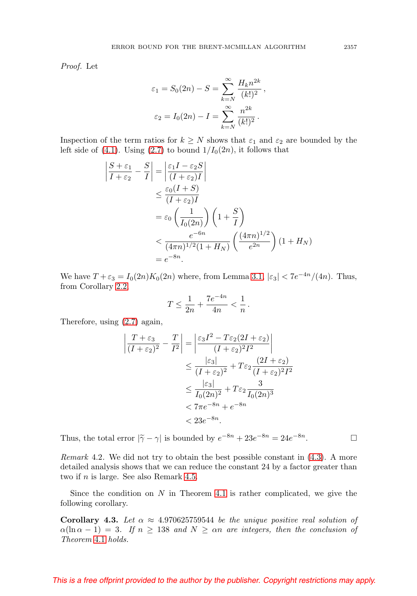Proof. Let

$$
\varepsilon_1 = S_0(2n) - S = \sum_{k=N}^{\infty} \frac{H_k n^{2k}}{(k!)^2},
$$

$$
\varepsilon_2 = I_0(2n) - I = \sum_{k=N}^{\infty} \frac{n^{2k}}{(k!)^2}.
$$

Inspection of the term ratios for  $k \geq N$  shows that  $\varepsilon_1$  and  $\varepsilon_2$  are bounded by the left side of [\(4.1\)](#page-5-3). Using [\(2.7\)](#page-2-6) to bound  $1/I_0(2n)$ , it follows that

$$
\begin{aligned}\n\left| \frac{S + \varepsilon_1}{I + \varepsilon_2} - \frac{S}{I} \right| &= \left| \frac{\varepsilon_1 I - \varepsilon_2 S}{(I + \varepsilon_2)I} \right| \\
&\leq \frac{\varepsilon_0 (I + S)}{(I + \varepsilon_2)I} \\
&= \varepsilon_0 \left( \frac{1}{I_0(2n)} \right) \left( 1 + \frac{S}{I} \right) \\
&< \frac{e^{-6n}}{(4\pi n)^{1/2} (1 + H_N)} \left( \frac{(4\pi n)^{1/2}}{e^{2n}} \right) (1 + H_N) \\
&= e^{-8n}.\n\end{aligned}
$$

We have  $T + \varepsilon_3 = I_0(2n)K_0(2n)$  where, from Lemma [3.1,](#page-3-1)  $|\varepsilon_3| < 7e^{-4n}/(4n)$ . Thus, from Corollary [2.2,](#page-2-7)

$$
T \le \frac{1}{2n} + \frac{7e^{-4n}}{4n} < \frac{1}{n} \, .
$$

Therefore, using [\(2.7\)](#page-2-6) again,

$$
\left| \frac{T + \varepsilon_3}{(I + \varepsilon_2)^2} - \frac{T}{I^2} \right| = \left| \frac{\varepsilon_3 I^2 - T \varepsilon_2 (2I + \varepsilon_2)}{(I + \varepsilon_2)^2 I^2} \right|
$$
  

$$
\leq \frac{|\varepsilon_3|}{(I + \varepsilon_2)^2} + T \varepsilon_2 \frac{(2I + \varepsilon_2)}{(I + \varepsilon_2)^2 I^2}
$$
  

$$
\leq \frac{|\varepsilon_3|}{I_0 (2n)^2} + T \varepsilon_2 \frac{3}{I_0 (2n)^3}
$$
  

$$
< 7\pi e^{-8n} + e^{-8n}
$$
  

$$
< 23e^{-8n}.
$$

Thus, the total error  $|\tilde{\gamma} - \gamma|$  is bounded by  $e^{-8n} + 23e^{-8n} = 24e^{-8n}$ .

Remark 4.2. We did not try to obtain the best possible constant in [\(4.3\)](#page-5-4). A more detailed analysis shows that we can reduce the constant 24 by a factor greater than two if n is large. See also Remark [4.5.](#page-7-0)

Since the condition on  $N$  in Theorem [4.1](#page-5-0) is rather complicated, we give the following corollary.

<span id="page-6-0"></span>**Corollary 4.3.** Let  $\alpha \approx 4.970625759544$  be the unique positive real solution of  $\alpha(\ln \alpha - 1) = 3$ . If  $n \geq 138$  and  $N \geq \alpha n$  are integers, then the conclusion of Theorem [4.1](#page-5-0) holds.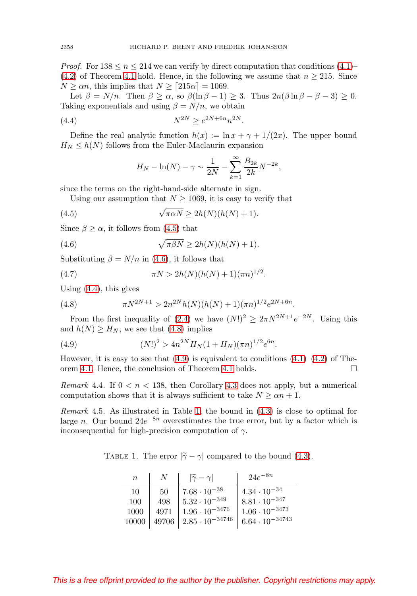*Proof.* For  $138 \leq n \leq 214$  we can verify by direct computation that conditions  $(4.1)$ [\(4.2\)](#page-5-5) of Theorem [4.1](#page-5-0) hold. Hence, in the following we assume that  $n \ge 215$ . Since  $N \ge \alpha n$ , this implies that  $N \ge [215\alpha] = 1069$ .

Let  $\beta = N/n$ . Then  $\beta \ge \alpha$ , so  $\beta(\ln \beta - 1) \ge 3$ . Thus  $2n(\beta \ln \beta - \beta - 3) \ge 0$ . Taking exponentials and using  $\beta = N/n$ , we obtain

<span id="page-7-3"></span>(4.4) 
$$
N^{2N} \ge e^{2N + 6n} n^{2N}.
$$

Define the real analytic function  $h(x) := \ln x + \gamma + 1/(2x)$ . The upper bound  $H_N \leq h(N)$  follows from the Euler-Maclaurin expansion

$$
H_N - \ln(N) - \gamma \sim \frac{1}{2N} - \sum_{k=1}^{\infty} \frac{B_{2k}}{2k} N^{-2k},
$$

since the terms on the right-hand-side alternate in sign.

Using our assumption that  $N \ge 1069$ , it is easy to verify that

<span id="page-7-1"></span>(4.5) 
$$
\sqrt{\pi \alpha N} \ge 2h(N)(h(N) + 1).
$$

Since  $\beta \geq \alpha$ , it follows from [\(4.5\)](#page-7-1) that

<span id="page-7-2"></span>(4.6) 
$$
\sqrt{\pi \beta N} \ge 2h(N)(h(N)+1).
$$

Substituting  $\beta = N/n$  in [\(4.6\)](#page-7-2), it follows that

(4.7) 
$$
\pi N > 2h(N)(h(N) + 1)(\pi n)^{1/2}.
$$

Using [\(4.4\)](#page-7-3), this gives

<span id="page-7-4"></span>(4.8) 
$$
\pi N^{2N+1} > 2n^{2N}h(N)(h(N) + 1)(\pi n)^{1/2}e^{2N + 6n}.
$$

From the first inequality of [\(2.4\)](#page-2-8) we have  $(N!)^2 \geq 2\pi N^{2N+1}e^{-2N}$ . Using this and  $h(N) \geq H_N$ , we see that [\(4.8\)](#page-7-4) implies

<span id="page-7-5"></span>(4.9) 
$$
(N!)^2 > 4n^{2N}H_N(1+H_N)(\pi n)^{1/2}e^{6n}.
$$

However, it is easy to see that  $(4.9)$  is equivalent to conditions  $(4.1)$ – $(4.2)$  of The-orem [4.1.](#page-5-0) Hence, the conclusion of Theorem [4.1](#page-5-0) holds.  $\Box$ 

Remark 4.4. If  $0 < n < 138$ , then Corollary [4.3](#page-6-0) does not apply, but a numerical computation shows that it is always sufficient to take  $N \geq \alpha n + 1$ .

<span id="page-7-0"></span>Remark 4.5. As illustrated in Table [1,](#page-7-6) the bound in [\(4.3\)](#page-5-4) is close to optimal for large n. Our bound  $24e^{-8n}$  overestimates the true error, but by a factor which is inconsequential for high-precision computation of  $\gamma$ .

TABLE 1. The error  $|\tilde{\gamma} - \gamma|$  compared to the bound [\(4.3\)](#page-5-4).

<span id="page-7-6"></span>

| $n_{\rm}$ |       | $ \widetilde{\gamma}-\gamma $ | $24e^{-8n}$              |
|-----------|-------|-------------------------------|--------------------------|
| 10        | 50    | $7.68 \cdot 10^{-38}$         | $4.34 \cdot 10^{-34}$    |
| 100       | 498   | $5.32 \cdot 10^{-349}$        | $8.81 \cdot 10^{-347}$   |
| 1000      | 4971  | $1.96 \cdot 10^{-3476}$       | $1.06 \cdot 10^{-3473}$  |
| 10000     | 49706 | $2.85 \cdot 10^{-34746}$      | $6.64 \cdot 10^{-34743}$ |